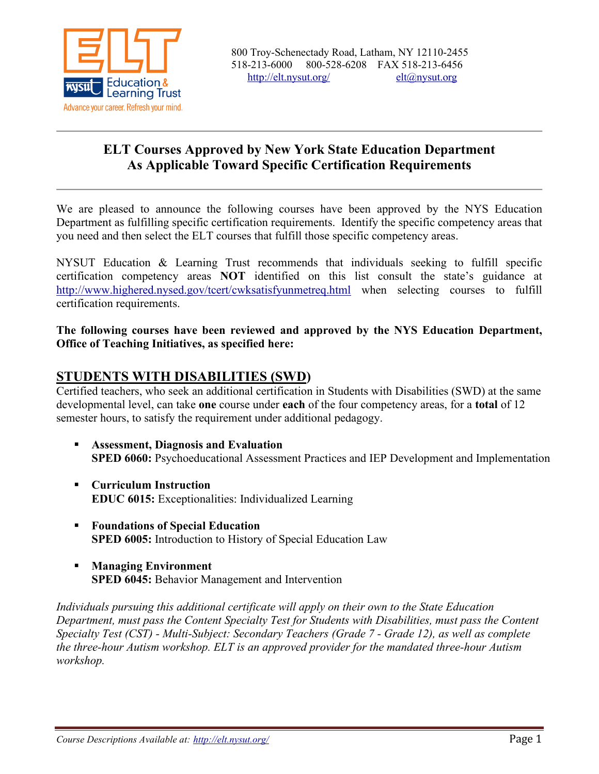

## **ELT Courses Approved by New York State Education Department As Applicable Toward Specific Certification Requirements**

We are pleased to announce the following courses have been approved by the NYS Education Department as fulfilling specific certification requirements. Identify the specific competency areas that you need and then select the ELT courses that fulfill those specific competency areas.

NYSUT Education & Learning Trust recommends that individuals seeking to fulfill specific certification competency areas **NOT** identified on this list consult the state's guidance at <http://www.highered.nysed.gov/tcert/cwksatisfyunmetreq.html> when selecting courses to fulfill certification requirements.

**The following courses have been reviewed and approved by the NYS Education Department, Office of Teaching Initiatives, as specified here:**

### **STUDENTS WITH DISABILITIES (SWD)**

Certified teachers, who seek an additional certification in Students with Disabilities (SWD) at the same developmental level, can take **one** course under **each** of the four competency areas, for a **total** of 12 semester hours, to satisfy the requirement under additional pedagogy.

- **Assessment, Diagnosis and Evaluation SPED 6060:** Psychoeducational Assessment Practices and IEP Development and Implementation
- **Curriculum Instruction EDUC 6015:** Exceptionalities: Individualized Learning
- **Foundations of Special Education SPED 6005:** Introduction to History of Special Education Law
- **Managing Environment SPED 6045:** Behavior Management and Intervention

*Individuals pursuing this additional certificate will apply on their own to the State Education Department, must pass the Content Specialty Test for Students with Disabilities, must pass the Content Specialty Test (CST) - Multi-Subject: Secondary Teachers (Grade 7 - Grade 12), as well as complete the three-hour Autism workshop. ELT is an approved provider for the mandated three-hour Autism workshop.*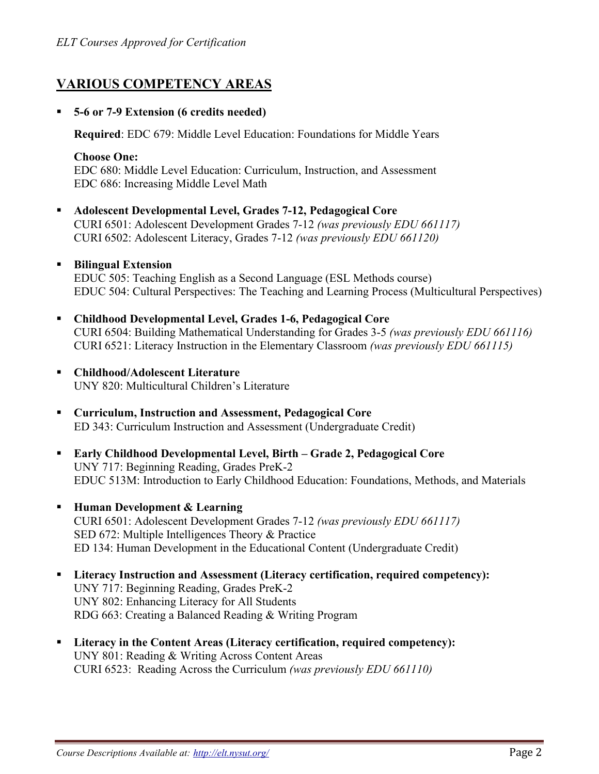# **VARIOUS COMPETENCY AREAS**

### **5-6 or 7-9 Extension (6 credits needed)**

**Required**: EDC 679: Middle Level Education: Foundations for Middle Years

### **Choose One:**

EDC 680: Middle Level Education: Curriculum, Instruction, and Assessment EDC 686: Increasing Middle Level Math

 **Adolescent Developmental Level, Grades 7-12, Pedagogical Core** CURI 6501: Adolescent Development Grades 7-12 *(was previously EDU 661117)* CURI 6502: Adolescent Literacy, Grades 7-12 *(was previously EDU 661120)*

### **Bilingual Extension**

EDUC 505: Teaching English as a Second Language (ESL Methods course) EDUC 504: Cultural Perspectives: The Teaching and Learning Process (Multicultural Perspectives)

- **Childhood Developmental Level, Grades 1-6, Pedagogical Core**  CURI 6504: Building Mathematical Understanding for Grades 3-5 *(was previously EDU 661116)* CURI 6521: Literacy Instruction in the Elementary Classroom *(was previously EDU 661115)*
- **Childhood/Adolescent Literature** UNY 820: Multicultural Children's Literature
- **Curriculum, Instruction and Assessment, Pedagogical Core** ED 343: Curriculum Instruction and Assessment (Undergraduate Credit)
- **Early Childhood Developmental Level, Birth – Grade 2, Pedagogical Core** UNY 717: Beginning Reading, Grades PreK-2 EDUC 513M: Introduction to Early Childhood Education: Foundations, Methods, and Materials
- **Human Development & Learning** CURI 6501: Adolescent Development Grades 7-12 *(was previously EDU 661117)* SED 672: Multiple Intelligences Theory & Practice ED 134: Human Development in the Educational Content (Undergraduate Credit)
- **Literacy Instruction and Assessment (Literacy certification, required competency):** UNY 717: Beginning Reading, Grades PreK-2 UNY 802: Enhancing Literacy for All Students RDG 663: Creating a Balanced Reading & Writing Program
- **Literacy in the Content Areas (Literacy certification, required competency):** UNY 801: Reading & Writing Across Content Areas CURI 6523: Reading Across the Curriculum *(was previously EDU 661110)*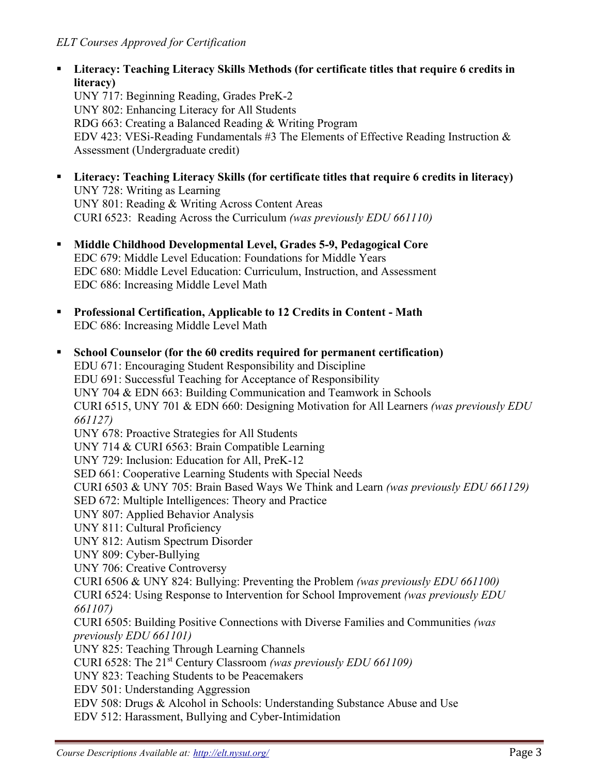**Literacy: Teaching Literacy Skills Methods (for certificate titles that require 6 credits in literacy)** 

UNY 717: Beginning Reading, Grades PreK-2 UNY 802: Enhancing Literacy for All Students RDG 663: Creating a Balanced Reading & Writing Program EDV 423: VESi-Reading Fundamentals #3 The Elements of Effective Reading Instruction  $\&$ Assessment (Undergraduate credit)

- **Literacy: Teaching Literacy Skills (for certificate titles that require 6 credits in literacy)** UNY 728: Writing as Learning UNY 801: Reading & Writing Across Content Areas CURI 6523: Reading Across the Curriculum *(was previously EDU 661110)*
- **Middle Childhood Developmental Level, Grades 5-9, Pedagogical Core** EDC 679: Middle Level Education: Foundations for Middle Years EDC 680: Middle Level Education: Curriculum, Instruction, and Assessment EDC 686: Increasing Middle Level Math
- **Professional Certification, Applicable to 12 Credits in Content - Math** EDC 686: Increasing Middle Level Math

 **School Counselor (for the 60 credits required for permanent certification)** EDU 671: Encouraging Student Responsibility and Discipline EDU 691: Successful Teaching for Acceptance of Responsibility UNY 704 & EDN 663: Building Communication and Teamwork in Schools CURI 6515, UNY 701 & EDN 660: Designing Motivation for All Learners *(was previously EDU 661127)* UNY 678: Proactive Strategies for All Students UNY 714 & CURI 6563: Brain Compatible Learning UNY 729: Inclusion: Education for All, PreK-12 SED 661: Cooperative Learning Students with Special Needs CURI 6503 & UNY 705: Brain Based Ways We Think and Learn *(was previously EDU 661129)* SED 672: Multiple Intelligences: Theory and Practice UNY 807: Applied Behavior Analysis UNY 811: Cultural Proficiency UNY 812: Autism Spectrum Disorder UNY 809: Cyber-Bullying UNY 706: Creative Controversy CURI 6506 & UNY 824: Bullying: Preventing the Problem *(was previously EDU 661100)* CURI 6524: Using Response to Intervention for School Improvement *(was previously EDU 661107)* CURI 6505: Building Positive Connections with Diverse Families and Communities *(was previously EDU 661101)* UNY 825: Teaching Through Learning Channels CURI 6528: The 21st Century Classroom *(was previously EDU 661109)* UNY 823: Teaching Students to be Peacemakers EDV 501: Understanding Aggression EDV 508: Drugs & Alcohol in Schools: Understanding Substance Abuse and Use EDV 512: Harassment, Bullying and Cyber-Intimidation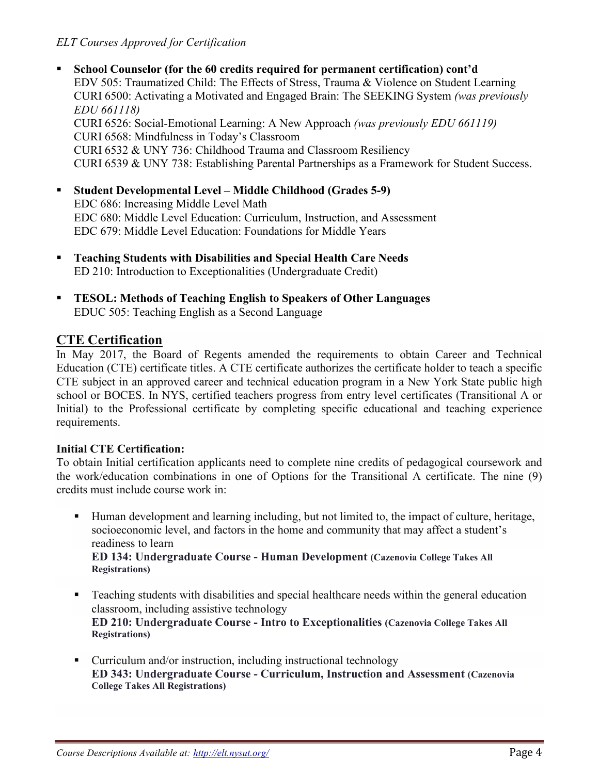- **School Counselor (for the 60 credits required for permanent certification) cont'd** EDV 505: Traumatized Child: The Effects of Stress, Trauma & Violence on Student Learning CURI 6500: Activating a Motivated and Engaged Brain: The SEEKING System *(was previously EDU 661118)* CURI 6526: Social-Emotional Learning: A New Approach *(was previously EDU 661119)* CURI 6568: Mindfulness in Today's Classroom CURI 6532 & UNY 736: Childhood Trauma and Classroom Resiliency CURI 6539 & UNY 738: Establishing Parental Partnerships as a Framework for Student Success.
- **Student Developmental Level – Middle Childhood (Grades 5-9)** EDC 686: Increasing Middle Level Math EDC 680: Middle Level Education: Curriculum, Instruction, and Assessment EDC 679: Middle Level Education: Foundations for Middle Years
- **Teaching Students with Disabilities and Special Health Care Needs** ED 210: Introduction to Exceptionalities (Undergraduate Credit)
- **TESOL: Methods of Teaching English to Speakers of Other Languages** EDUC 505: Teaching English as a Second Language

# **CTE Certification**

In May 2017, the Board of Regents amended the requirements to obtain Career and Technical Education (CTE) certificate titles. A CTE certificate authorizes the certificate holder to teach a specific CTE subject in an approved career and technical education program in a New York State public high school or BOCES. In NYS, certified teachers progress from entry level certificates (Transitional A or Initial) to the Professional certificate by completing specific educational and teaching experience requirements.

## **Initial CTE Certification:**

To obtain Initial certification applicants need to complete nine credits of pedagogical coursework and the work/education combinations in one of Options for the Transitional A certificate. The nine (9) credits must include course work in:

- Human development and learning including, but not limited to, the impact of culture, heritage, socioeconomic level, and factors in the home and community that may affect a student's readiness to learn **ED 134: Undergraduate Course - Human Development (Cazenovia College Takes All Registrations)**
- Teaching students with disabilities and special healthcare needs within the general education classroom, including assistive technology **ED 210: Undergraduate Course - Intro to Exceptionalities (Cazenovia College Takes All Registrations)**
- Curriculum and/or instruction, including instructional technology **ED 343: Undergraduate Course - Curriculum, Instruction and Assessment (Cazenovia College Takes All Registrations)**